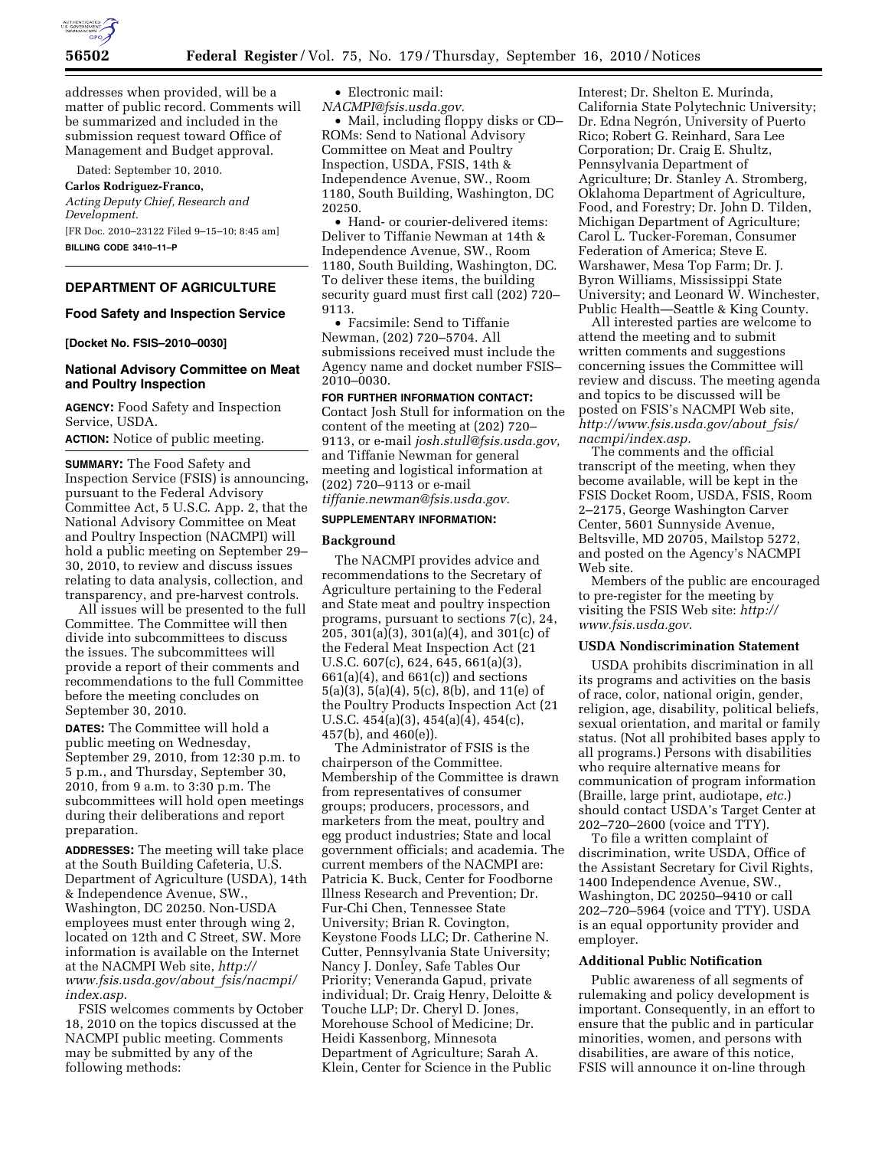

addresses when provided, will be a matter of public record. Comments will be summarized and included in the submission request toward Office of Management and Budget approval.

Dated: September 10, 2010.

**Carlos Rodriguez-Franco,**  *Acting Deputy Chief, Research and* 

*Development.*  [FR Doc. 2010–23122 Filed 9–15–10; 8:45 am]

**BILLING CODE 3410–11–P** 

# **DEPARTMENT OF AGRICULTURE**

## **Food Safety and Inspection Service**

**[Docket No. FSIS–2010–0030]** 

### **National Advisory Committee on Meat and Poultry Inspection**

**AGENCY:** Food Safety and Inspection Service, USDA.

**ACTION:** Notice of public meeting.

**SUMMARY:** The Food Safety and Inspection Service (FSIS) is announcing, pursuant to the Federal Advisory Committee Act, 5 U.S.C. App. 2, that the National Advisory Committee on Meat and Poultry Inspection (NACMPI) will hold a public meeting on September 29– 30, 2010, to review and discuss issues relating to data analysis, collection, and transparency, and pre-harvest controls.

All issues will be presented to the full Committee. The Committee will then divide into subcommittees to discuss the issues. The subcommittees will provide a report of their comments and recommendations to the full Committee before the meeting concludes on September 30, 2010.

**DATES:** The Committee will hold a public meeting on Wednesday, September 29, 2010, from 12:30 p.m. to 5 p.m., and Thursday, September 30, 2010, from 9 a.m. to 3:30 p.m. The subcommittees will hold open meetings during their deliberations and report preparation.

**ADDRESSES:** The meeting will take place at the South Building Cafeteria, U.S. Department of Agriculture (USDA), 14th & Independence Avenue, SW., Washington, DC 20250. Non-USDA employees must enter through wing 2, located on 12th and C Street, SW. More information is available on the Internet at the NACMPI Web site, *[http://](http://www.fsis.usda.gov/about_fsis/nacmpi/index.asp)  [www.fsis.usda.gov/about](http://www.fsis.usda.gov/about_fsis/nacmpi/index.asp)*\_*fsis/nacmpi/ [index.asp](http://www.fsis.usda.gov/about_fsis/nacmpi/index.asp)*.

FSIS welcomes comments by October 18, 2010 on the topics discussed at the NACMPI public meeting. Comments may be submitted by any of the following methods:

• Electronic mail:

*[NACMPI@fsis.usda.gov.](mailto:NACMPI@fsis.usda.gov)*  • Mail, including floppy disks or CD– ROMs: Send to National Advisory Committee on Meat and Poultry Inspection, USDA, FSIS, 14th & Independence Avenue, SW., Room 1180, South Building, Washington, DC 20250.

• Hand- or courier-delivered items: Deliver to Tiffanie Newman at 14th & Independence Avenue, SW., Room 1180, South Building, Washington, DC. To deliver these items, the building security guard must first call (202) 720– 9113.

• Facsimile: Send to Tiffanie Newman, (202) 720–5704. All submissions received must include the Agency name and docket number FSIS– 2010–0030.

**FOR FURTHER INFORMATION CONTACT:**  Contact Josh Stull for information on the content of the meeting at (202) 720– 9113, or e-mail *[josh.stull@fsis.usda.gov,](mailto:josh.stull@fsis.usda.gov)*  and Tiffanie Newman for general meeting and logistical information at (202) 720–9113 or e-mail *[tiffanie.newman@fsis.usda.gov.](mailto:tiffanie.newman@fsis.usda.gov)* 

# **SUPPLEMENTARY INFORMATION:**

#### **Background**

The NACMPI provides advice and recommendations to the Secretary of Agriculture pertaining to the Federal and State meat and poultry inspection programs, pursuant to sections 7(c), 24, 205, 301(a)(3), 301(a)(4), and 301(c) of the Federal Meat Inspection Act (21 U.S.C. 607(c), 624, 645, 661(a)(3),  $661(a)(4)$ , and  $661(c)$ ) and sections 5(a)(3), 5(a)(4), 5(c), 8(b), and 11(e) of the Poultry Products Inspection Act (21 U.S.C. 454(a)(3), 454(a)(4), 454(c), 457(b), and 460(e)).

The Administrator of FSIS is the chairperson of the Committee. Membership of the Committee is drawn from representatives of consumer groups; producers, processors, and marketers from the meat, poultry and egg product industries; State and local government officials; and academia. The current members of the NACMPI are: Patricia K. Buck, Center for Foodborne Illness Research and Prevention; Dr. Fur-Chi Chen, Tennessee State University; Brian R. Covington, Keystone Foods LLC; Dr. Catherine N. Cutter, Pennsylvania State University; Nancy J. Donley, Safe Tables Our Priority; Veneranda Gapud, private individual; Dr. Craig Henry, Deloitte & Touche LLP; Dr. Cheryl D. Jones, Morehouse School of Medicine; Dr. Heidi Kassenborg, Minnesota Department of Agriculture; Sarah A. Klein, Center for Science in the Public

Interest; Dr. Shelton E. Murinda, California State Polytechnic University; Dr. Edna Negrón, University of Puerto Rico; Robert G. Reinhard, Sara Lee Corporation; Dr. Craig E. Shultz, Pennsylvania Department of Agriculture; Dr. Stanley A. Stromberg, Oklahoma Department of Agriculture, Food, and Forestry; Dr. John D. Tilden, Michigan Department of Agriculture; Carol L. Tucker-Foreman, Consumer Federation of America; Steve E. Warshawer, Mesa Top Farm; Dr. J. Byron Williams, Mississippi State University; and Leonard W. Winchester, Public Health—Seattle & King County.

All interested parties are welcome to attend the meeting and to submit written comments and suggestions concerning issues the Committee will review and discuss. The meeting agenda and topics to be discussed will be posted on FSIS's NACMPI Web site, *[http://www.fsis.usda.gov/about](http://www.fsis.usda.gov/about_fsis/nacmpi/index.asp)*\_*fsis/ [nacmpi/index.asp.](http://www.fsis.usda.gov/about_fsis/nacmpi/index.asp)* 

The comments and the official transcript of the meeting, when they become available, will be kept in the FSIS Docket Room, USDA, FSIS, Room 2–2175, George Washington Carver Center, 5601 Sunnyside Avenue, Beltsville, MD 20705, Mailstop 5272, and posted on the Agency's NACMPI Web site.

Members of the public are encouraged to pre-register for the meeting by visiting the FSIS Web site: *[http://](http://www.fsis.usda.gov)  [www.fsis.usda.gov.](http://www.fsis.usda.gov)* 

#### **USDA Nondiscrimination Statement**

USDA prohibits discrimination in all its programs and activities on the basis of race, color, national origin, gender, religion, age, disability, political beliefs, sexual orientation, and marital or family status. (Not all prohibited bases apply to all programs.) Persons with disabilities who require alternative means for communication of program information (Braille, large print, audiotape, *etc.*) should contact USDA's Target Center at 202–720–2600 (voice and TTY).

To file a written complaint of discrimination, write USDA, Office of the Assistant Secretary for Civil Rights, 1400 Independence Avenue, SW., Washington, DC 20250–9410 or call 202–720–5964 (voice and TTY). USDA is an equal opportunity provider and employer.

#### **Additional Public Notification**

Public awareness of all segments of rulemaking and policy development is important. Consequently, in an effort to ensure that the public and in particular minorities, women, and persons with disabilities, are aware of this notice, FSIS will announce it on-line through